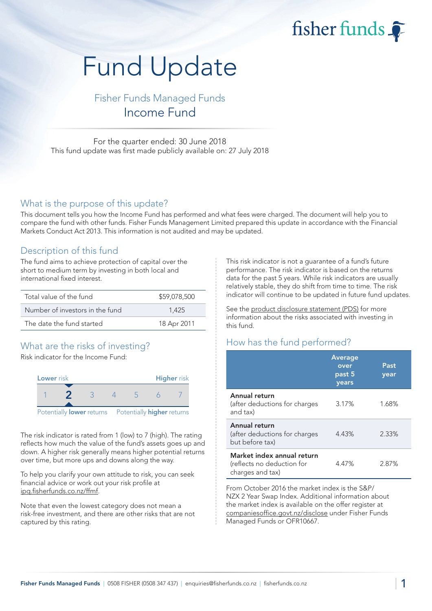fisher funds  $\widehat{\bullet}$ 

# Fund Update

Fisher Funds Managed Funds Income Fund

For the quarter ended: 30 June 2018 This fund update was first made publicly available on: 27 July 2018

#### What is the purpose of this update?

This document tells you how the Income Fund has performed and what fees were charged. The document will help you to compare the fund with other funds. Fisher Funds Management Limited prepared this update in accordance with the Financial Markets Conduct Act 2013. This information is not audited and may be updated.

### Description of this fund

The fund aims to achieve protection of capital over the short to medium term by investing in both local and international fixed interest.

| Total value of the fund         | \$59,078,500 |
|---------------------------------|--------------|
| Number of investors in the fund | 1.425        |
| The date the fund started       | 18 Apr 2011  |

## What are the risks of investing?

Risk indicator for the Income Fund:



The risk indicator is rated from 1 (low) to 7 (high). The rating reflects how much the value of the fund's assets goes up and down. A higher risk generally means higher potential returns over time, but more ups and downs along the way.

To help you clarify your own attitude to risk, you can seek financial advice or work out your risk profile at [ipq.fisherfunds.co.nz/ffmf.](https://ipq.fisherfunds.co.nz/ffmf)

Note that even the lowest category does not mean a risk-free investment, and there are other risks that are not captured by this rating.

This risk indicator is not a guarantee of a fund's future performance. The risk indicator is based on the returns data for the past 5 years. While risk indicators are usually relatively stable, they do shift from time to time. The risk indicator will continue to be updated in future fund updates.

See the [product disclosure statement \(PDS\)](https://fisherfunds.co.nz/assets/PDS/Fisher-Funds-Managed-Funds-PDS.pdf) for more information about the risks associated with investing in this fund.

# How has the fund performed?

|                                                                              | <b>Average</b><br>over<br>past 5<br>years | Past<br>year |
|------------------------------------------------------------------------------|-------------------------------------------|--------------|
| Annual return<br>(after deductions for charges<br>and tax)                   | 3.17%                                     | 1.68%        |
| Annual return<br>(after deductions for charges<br>but before tax)            | 4.43%                                     | 2.33%        |
| Market index annual return<br>(reflects no deduction for<br>charges and tax) | 4.47%                                     | 2.87%        |

From October 2016 the market index is the S&P/ NZX 2 Year Swap Index. Additional information about the market index is available on the offer register at [companiesoffice.govt.nz/disclose](http://companiesoffice.govt.nz/disclose) under Fisher Funds Managed Funds or OFR10667.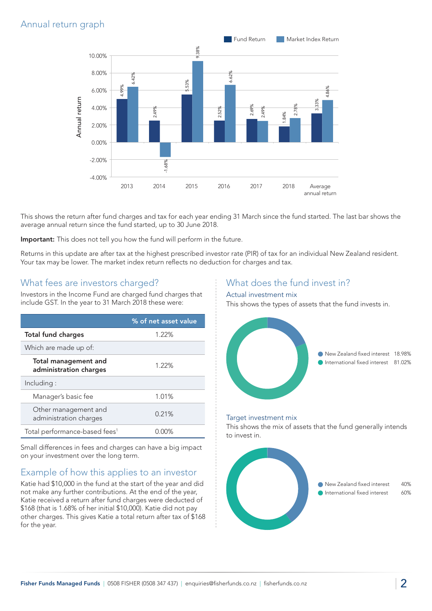# Annual return graph



This shows the return after fund charges and tax for each year ending 31 March since the fund started. The last bar shows the average annual return since the fund started, up to 30 June 2018.

Important: This does not tell you how the fund will perform in the future.

Returns in this update are after tax at the highest prescribed investor rate (PIR) of tax for an individual New Zealand resident. Your tax may be lower. The market index return reflects no deduction for charges and tax.

### What fees are investors charged?

Investors in the Income Fund are charged fund charges that include GST. In the year to 31 March 2018 these were:

|                                                | % of net asset value |
|------------------------------------------------|----------------------|
| <b>Total fund charges</b>                      | 1.22%                |
| Which are made up of:                          |                      |
| Total management and<br>administration charges | 1.22%                |
| Including:                                     |                      |
| Manager's basic fee                            | 1.01%                |
| Other management and<br>administration charges | 0.21%                |
| Total performance-based fees <sup>1</sup>      | በበ%                  |

Small differences in fees and charges can have a big impact on your investment over the long term.

## Example of how this applies to an investor

Katie had \$10,000 in the fund at the start of the year and did not make any further contributions. At the end of the year, Katie received a return after fund charges were deducted of \$168 (that is 1.68% of her initial \$10,000). Katie did not pay other charges. This gives Katie a total return after tax of \$168 for the year.

## What does the fund invest in?

#### Actual investment mix

This shows the types of assets that the fund invests in.



#### Target investment mix

This shows the mix of assets that the fund generally intends to invest in.